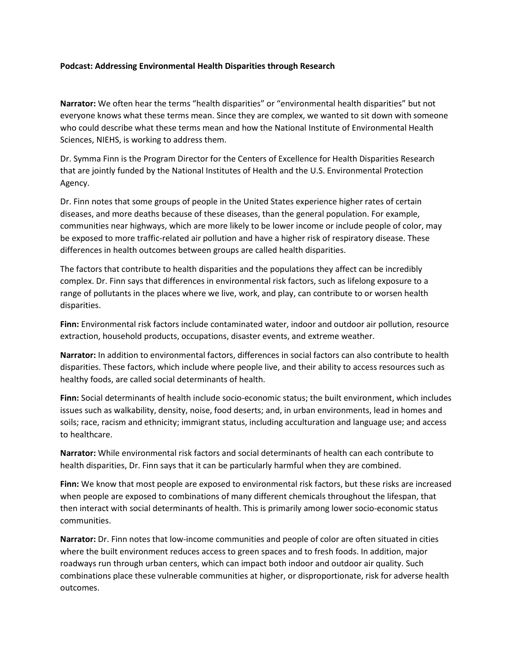## **Podcast: Addressing Environmental Health Disparities through Research**

**Narrator:** We often hear the terms "health disparities" or "environmental health disparities" but not everyone knows what these terms mean. Since they are complex, we wanted to sit down with someone who could describe what these terms mean and how the National Institute of Environmental Health Sciences, NIEHS, is working to address them.

Dr. Symma Finn is the Program Director for the Centers of Excellence for Health Disparities Research that are jointly funded by the National Institutes of Health and the U.S. Environmental Protection Agency.

Dr. Finn notes that some groups of people in the United States experience higher rates of certain diseases, and more deaths because of these diseases, than the general population. For example, communities near highways, which are more likely to be lower income or include people of color, may be exposed to more traffic-related air pollution and have a higher risk of respiratory disease. These differences in health outcomes between groups are called health disparities.

The factors that contribute to health disparities and the populations they affect can be incredibly complex. Dr. Finn says that differences in environmental risk factors, such as lifelong exposure to a range of pollutants in the places where we live, work, and play, can contribute to or worsen health disparities.

**Finn:** Environmental risk factors include contaminated water, indoor and outdoor air pollution, resource extraction, household products, occupations, disaster events, and extreme weather.

**Narrator:** In addition to environmental factors, differences in social factors can also contribute to health disparities. These factors, which include where people live, and their ability to access resources such as healthy foods, are called social determinants of health.

**Finn:** Social determinants of health include socio-economic status; the built environment, which includes issues such as walkability, density, noise, food deserts; and, in urban environments, lead in homes and soils; race, racism and ethnicity; immigrant status, including acculturation and language use; and access to healthcare.

**Narrator:** While environmental risk factors and social determinants of health can each contribute to health disparities, Dr. Finn says that it can be particularly harmful when they are combined.

**Finn:** We know that most people are exposed to environmental risk factors, but these risks are increased when people are exposed to combinations of many different chemicals throughout the lifespan, that then interact with social determinants of health. This is primarily among lower socio-economic status communities.

**Narrator:** Dr. Finn notes that low-income communities and people of color are often situated in cities where the built environment reduces access to green spaces and to fresh foods. In addition, major roadways run through urban centers, which can impact both indoor and outdoor air quality. Such combinations place these vulnerable communities at higher, or disproportionate, risk for adverse health outcomes.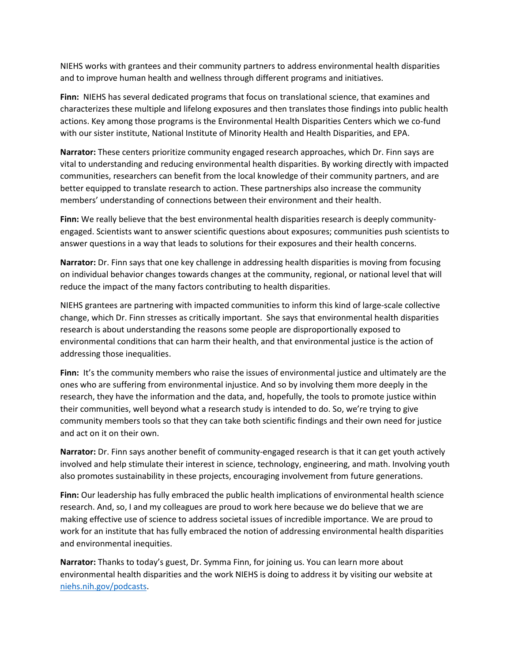NIEHS works with grantees and their community partners to address environmental health disparities and to improve human health and wellness through different programs and initiatives.

**Finn:** NIEHS has several dedicated programs that focus on translational science, that examines and characterizes these multiple and lifelong exposures and then translates those findings into public health actions. Key among those programs is the Environmental Health Disparities Centers which we co-fund with our sister institute, National Institute of Minority Health and Health Disparities, and EPA.

**Narrator:** These centers prioritize community engaged research approaches, which Dr. Finn says are vital to understanding and reducing environmental health disparities. By working directly with impacted communities, researchers can benefit from the local knowledge of their community partners, and are better equipped to translate research to action. These partnerships also increase the community members' understanding of connections between their environment and their health.

**Finn:** We really believe that the best environmental health disparities research is deeply communityengaged. Scientists want to answer scientific questions about exposures; communities push scientists to answer questions in a way that leads to solutions for their exposures and their health concerns.

**Narrator:** Dr. Finn says that one key challenge in addressing health disparities is moving from focusing on individual behavior changes towards changes at the community, regional, or national level that will reduce the impact of the many factors contributing to health disparities.

NIEHS grantees are partnering with impacted communities to inform this kind of large-scale collective change, which Dr. Finn stresses as critically important. She says that environmental health disparities research is about understanding the reasons some people are disproportionally exposed to environmental conditions that can harm their health, and that environmental justice is the action of addressing those inequalities.

**Finn:** It's the community members who raise the issues of environmental justice and ultimately are the ones who are suffering from environmental injustice. And so by involving them more deeply in the research, they have the information and the data, and, hopefully, the tools to promote justice within their communities, well beyond what a research study is intended to do. So, we're trying to give community members tools so that they can take both scientific findings and their own need for justice and act on it on their own.

**Narrator:** Dr. Finn says another benefit of community-engaged research is that it can get youth actively involved and help stimulate their interest in science, technology, engineering, and math. Involving youth also promotes sustainability in these projects, encouraging involvement from future generations.

**Finn:** Our leadership has fully embraced the public health implications of environmental health science research. And, so, I and my colleagues are proud to work here because we do believe that we are making effective use of science to address societal issues of incredible importance. We are proud to work for an institute that has fully embraced the notion of addressing environmental health disparities and environmental inequities.

**Narrator:** Thanks to today's guest, Dr. Symma Finn, for joining us. You can learn more about environmental health disparities and the work NIEHS is doing to address it by visiting our website at [niehs.nih.gov/podcasts](http://www.niehs.nih.gov/news/podcasts/).